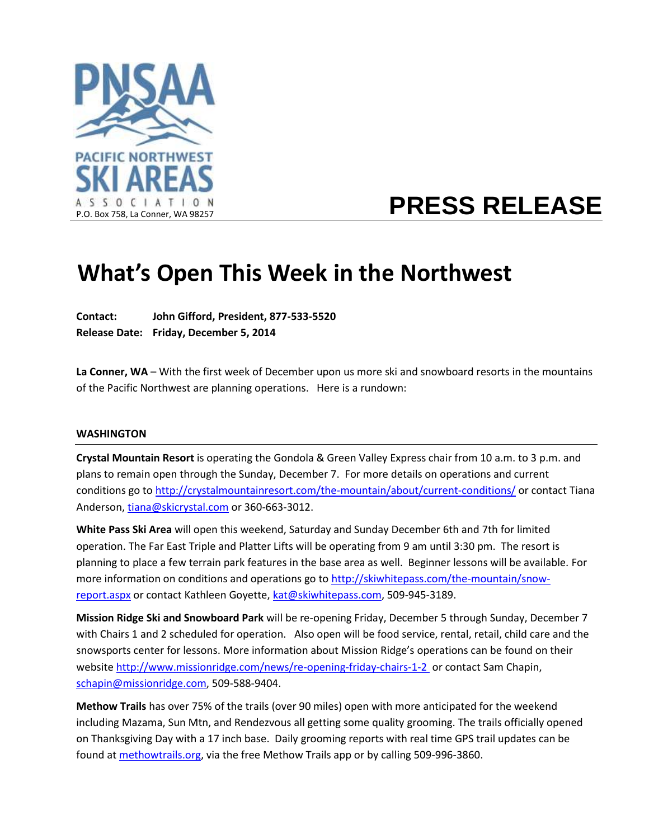

# **PRESS RELEASE**

# **What's Open This Week in the Northwest**

**Contact: John Gifford, President, 877-533-5520 Release Date: Friday, December 5, 2014**

**La Conner, WA** – With the first week of December upon us more ski and snowboard resorts in the mountains of the Pacific Northwest are planning operations. Here is a rundown:

#### **WASHINGTON**

**Crystal Mountain Resort** is operating the Gondola & Green Valley Express chair from 10 a.m. to 3 p.m. and plans to remain open through the Sunday, December 7. For more details on operations and current conditions go t[o http://crystalmountainresort.com/the-mountain/about/current-conditions/](http://crystalmountainresort.com/the-mountain/about/current-conditions/) or contact Tiana Anderson, [tiana@skicrystal.com](mailto:tiana@skicrystal.com) or 360-663-3012.

**White Pass Ski Area** will open this weekend, Saturday and Sunday December 6th and 7th for limited operation. The Far East Triple and Platter Lifts will be operating from 9 am until 3:30 pm. The resort is planning to place a few terrain park features in the base area as well. Beginner lessons will be available. For more information on conditions and operations go t[o http://skiwhitepass.com/the-mountain/snow](http://skiwhitepass.com/the-mountain/snow-report.aspx)[report.aspx](http://skiwhitepass.com/the-mountain/snow-report.aspx) or contact Kathleen Goyette, [kat@skiwhitepass.com,](mailto:kat@skiwhitepass.com) 509-945-3189.

**Mission Ridge Ski and Snowboard Park** will be re-opening Friday, December 5 through Sunday, December 7 with Chairs 1 and 2 scheduled for operation. Also open will be food service, rental, retail, child care and the snowsports center for lessons. More information about Mission Ridge's operations can be found on their website [http://www.missionridge.com/news/re-opening-friday-chairs-1-2 o](http://www.missionridge.com/news/re-opening-friday-chairs-1-2)r contact Sam Chapin, [schapin@missionridge.com,](mailto:schapin@missionridge.com) 509-588-9404.

**Methow Trails** has over 75% of the trails (over 90 miles) open with more anticipated for the weekend including Mazama, Sun Mtn, and Rendezvous all getting some quality grooming. The trails officially opened on Thanksgiving Day with a 17 inch base.Daily grooming reports with real time GPS trail updates can be found a[t methowtrails.org,](http://methowtrails.org/winter-trails/grooming/) via the free Methow Trails app or by calling 509-996-3860.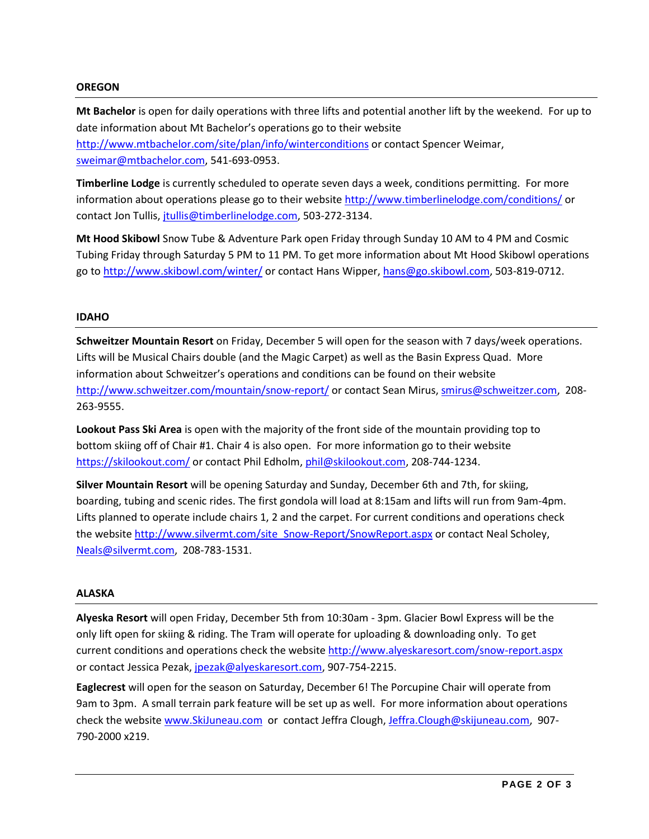## **OREGON**

**Mt Bachelor** is open for daily operations with three lifts and potential another lift by the weekend. For up to date information about Mt Bachelor's operations go to their website <http://www.mtbachelor.com/site/plan/info/winterconditions> or contact Spencer Weimar, [sweimar@mtbachelor.com,](mailto:sweimar@mtbachelor.com) 541-693-0953.

**Timberline Lodge** is currently scheduled to operate seven days a week, conditions permitting. For more information about operations please go to their website<http://www.timberlinelodge.com/conditions/> or contact Jon Tullis, [jtullis@timberlinelodge.com,](mailto:jtullis@timberlinelodge.com) 503-272-3134.

**Mt Hood Skibowl** Snow Tube & Adventure Park open Friday through Sunday 10 AM to 4 PM and Cosmic Tubing Friday through Saturday 5 PM to 11 PM. To get more information about Mt Hood Skibowl operations go to<http://www.skibowl.com/winter/> or contact Hans Wipper[, hans@go.skibowl.com,](mailto:hans@go.skibowl.com) 503-819-0712.

## **IDAHO**

**Schweitzer Mountain Resort** on Friday, December 5 will open for the season with 7 days/week operations. Lifts will be Musical Chairs double (and the Magic Carpet) as well as the Basin Express Quad. More information about Schweitzer's operations and conditions can be found on their website <http://www.schweitzer.com/mountain/snow-report/> or contact Sean Mirus, [smirus@schweitzer.com,](mailto:smirus@schweitzer.com) 208-263-9555.

**Lookout Pass Ski Area** is open with the majority of the front side of the mountain providing top to bottom skiing off of Chair #1. Chair 4 is also open. For more information go to their website <https://skilookout.com/> or contact Phil Edholm, [phil@skilookout.com,](mailto:phil@skilookout.com) 208-744-1234.

**Silver Mountain Resort** will be opening Saturday and Sunday, December 6th and 7th, for skiing, boarding, tubing and scenic rides. The first gondola will load at 8:15am and lifts will run from 9am-4pm. Lifts planned to operate include chairs 1, 2 and the carpet. For current conditions and operations check the website [http://www.silvermt.com/site\\_Snow-Report/SnowReport.aspx](http://www.silvermt.com/site_Snow-Report/SnowReport.aspx) or contact Neal Scholey, [Neals@silvermt.com,](mailto:Neals@silvermt.com) 208-783-1531.

#### **ALASKA**

**Alyeska Resort** will open Friday, December 5th from 10:30am - 3pm. Glacier Bowl Express will be the only lift open for skiing & riding. The Tram will operate for uploading & downloading only. To get current conditions and operations check the websit[e http://www.alyeskaresort.com/snow-report.aspx](http://www.alyeskaresort.com/snow-report.aspx) or contact Jessica Pezak[, jpezak@alyeskaresort.com,](mailto:jpezak@alyeskaresort.com) 907-754-2215.

**Eaglecrest** will open for the season on Saturday, December 6! The Porcupine Chair will operate from 9am to 3pm. A small terrain park feature will be set up as well. For more information about operations check the website [www.SkiJuneau.com](http://www.skijuneau.com/) or contact Jeffra Clough[, Jeffra.Clough@skijuneau.com,](mailto:Jeffra.Clough@skijuneau.com) 907- 790-2000 x219.